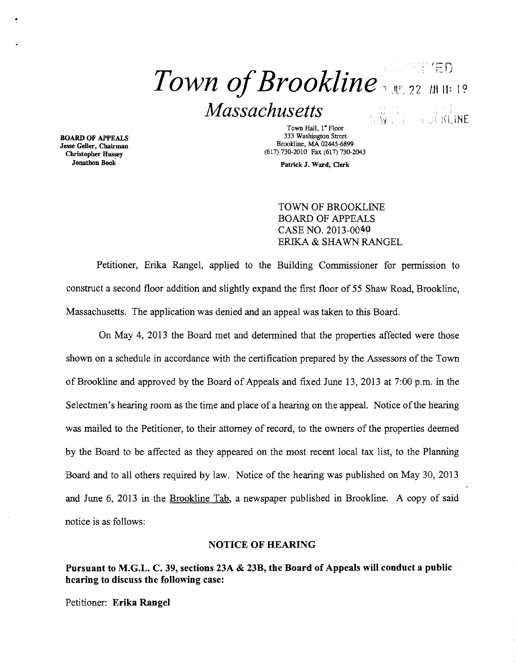# *Town of Brookline*  $\frac{1}{22}$  *MH*<sup>19</sup> *Massachusetts*  TWEE HURRINE

Jesse Geller, Chairman Christopher Hussey

Town Hall, 1" Floor BOARD OF APPEALS 333 Washington Street Brookline, MA 02445-6899 (617) 730-2010 Fax (617) 730-2043

Jonathon Book Patrick J. Ward, Clerk

TOWN OF BROOKLINE BOARD OF APPEALS CASE NO. 2013-0040 ERIKA & SHAWN RANGEL

Petitioner, Erika Rangel, applied to the Building Commissioner for permission to construct a second floor addition and slightly expand the first floor of 55 Shaw Road, Brookline, Massachusetts. The application was denied and an appeal was taken to this Board.

On May 4, 2013 the Board met and detennined that the properties affected were those shown on a schedule in accordance with the certification prepared by the Assessors of the Town of Brookline and approved by the Board of Appeals and fixed June 13,2013 at 7:00 p.m. in the Selectmen's hearing room as the time and place of a hearing on the appeal. Notice of the hearing was mailed to the Petitioner, to their attorney of record, to the owners of the properties deemed by the Board to be affected as they appeared on the most recent local tax list, to the Planning Board and to all others required by law. Notice of the hearing was published on May 30, 2013 and June 6, 2013 in the Brookline Tab, a newspaper published in Brookline. A copy of said notice is as follows:

#### NOTICE OF HEARING

Pursuant to M.G.L. C. 39, sections 23A & 23B, the Board of Appeals will conduct a public hearing to discuss the following case:

Petitioner: Erika Rangel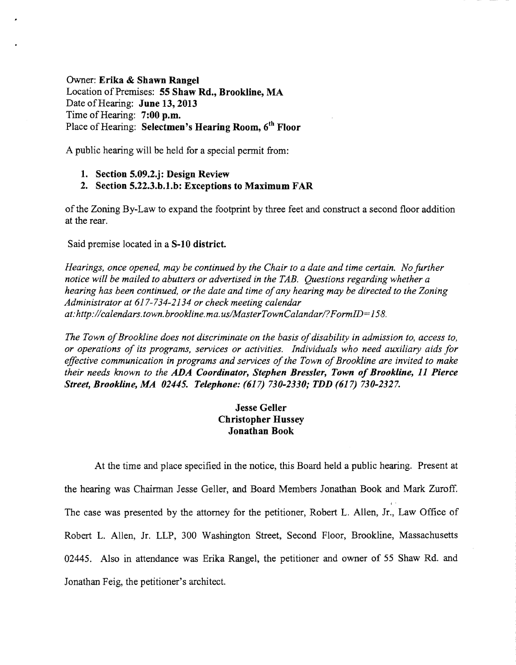# Owner: Erika & Shawn Rangel Location of Premises: 55 Shaw Rd., Brookline, MA Date of Hearing: June 13, 2013 Time of Hearing:  $7:00$  p.m. Place of Hearing: Selectmen's Hearing Room, 6<sup>th</sup> Floor

A public hearing will be held for a special permit from:

### 1. Section 5.09.2.j: Design Review

### 2. Section 5.22.3.h.1.h: Exceptions to Maximum FAR

ofthe Zoning By-Law to expand the footprint by three feet and construct a second floor addition at the rear.

#### Said premise located in a S-10 district.

*Hearings, once opened, may be continued by the Chair to a date and time certain. No further notice will be mailed to abutters or advertised in the TAB. Questions regarding whether a hearing has been continued, or the date and time of any hearing may be directed to the Zoning Administrator at* 617-734-2134 *or check meeting calendar at:http://calendars. town. brookline. ma.uslMasterTownCaland arl?FormID=158.* 

The Town of Brookline does not discriminate on the basis of disability in admission to, access to, *or operations of its programs, services or activities. Individuals who need auxiliary aids for*  effective communication in programs and services of the Town of Brookline are invited to make *their needs known to the ADA Coordinator, Stephen Bressler, Town of Brookline, 11 Pierce Street, Brookline, MA 02445. Telephone:* (617) *730-2330; TDD* (617) *730-2327.* 

## Jesse Geller Christopher Hussey Jonathan Book

At the time and place specified in the notice, this Board held a public hearing. Present at the hearing was Chairman Jesse Geller, and Board Members Jonathan Book and Mark Zuroff. The case was presented by the attorney for the petitioner, Robert L. Allen, Jr., Law Office of Robert L. Allen, Jr. LLP, 300 Washington Street, Second Floor, Brookline, Massachusetts 02445. Also in attendance was Erika Rangel, the petitioner and owner of 55 Shaw Rd. and Jonathan Feig, the petitioner's architect.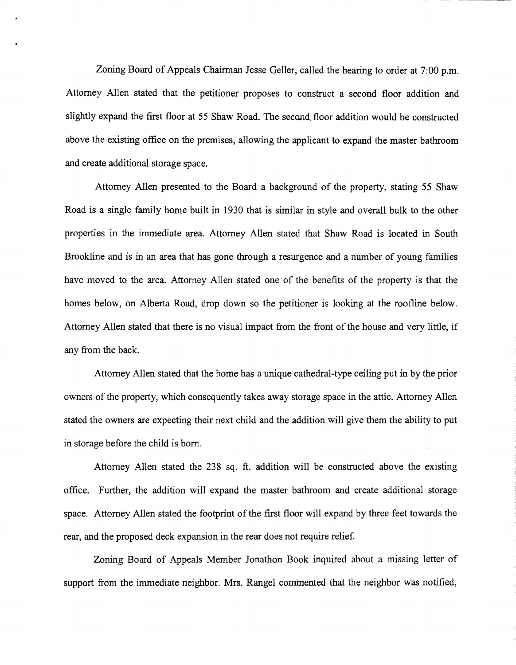Zoning Board of Appeals Chairman Jesse Geller, called the hearing to order at 7:00 p.m. Attorney Allen stated that the petitioner proposes to construct a second floor addition and slightly expand the first floor at 55 Shaw Road. The second, floor addition would be constructed above the existing office on the premises, allowing the applicant to expand the master bathroom and create additional storage space.

Attorney Allen presented to the Board a background of the property, stating 55 Shaw Road is a single family home built in 1930 that is similar in style and overall bulk to the other properties in the immediate area. Attorney Allen stated that Shaw Road is located in South Brookline and is in an area that has gone through a resurgence and a number of young families have moved to the area. Attorney Allen stated one of the benefits of the property is that the homes below, on Alberta Road, drop down so the petitioner is looking at the roofline below. Attorney Allen stated that there is no visual impact from the front of the house and very little, if any from the back.

Attorney Allen stated that the home has a unique cathedral-type ceiling put in by the prior owners of the property, which consequently takes away storage space in the attic. Attorney Allen stated the owners are expecting their next child and the addition will give them the ability to put in storage before the child is born.

Attorney Allen stated the 238 sq. ft. addition will be constructed above the existing office. Further, the addition will expand the master bathroom and create additional storage space. Attorney Allen stated the footprint of the first floor will expand by three feet towards the rear, and the proposed deck expansion in the rear does not require relief.

Zoning Board of Appeals Member Jonathon Book inquired about a missing letter of support from the immediate neighbor. Mrs. Rangel commented that the neighbor was notified,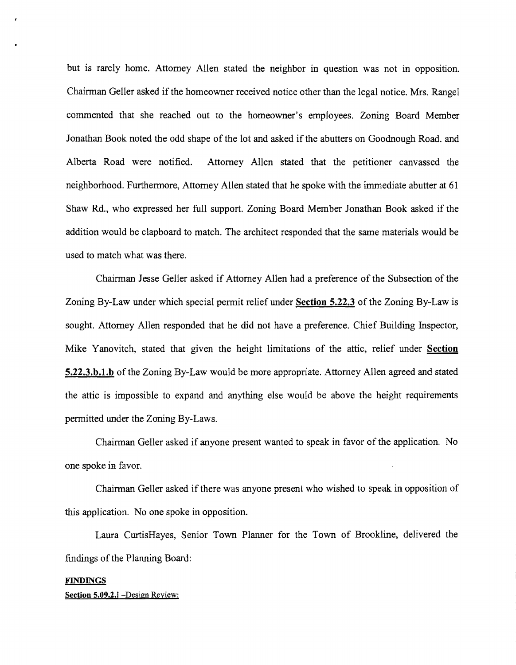but is rarely home. Attorney Allen stated the neighbor in question was not in opposition. Chairman Geller asked if the homeowner received notice other than the legal notice. Mrs. Rangel commented that she reached out to the homeowner's employees. Zoning Board Member Jonathan Book noted the odd shape of the lot and asked if the abutters on Goodnough Road. and Alberta Road were notified. Attorney Allen stated that the petitioner canvassed the neighborhood. Furthermore, Attorney Allen stated that he spoke with the immediate abutter at 61 Shaw Rd., who expressed her full support. Zoning Board Member Jonathan Book asked if the addition would be clapboard to match. The architect responded that the same materials would be used to match what was there.

Chairman Jesse Geller asked if Attorney Allen had a preference of the Subsection of the Zoning By-Law under which special permit relief under Section 5.22.3 of the Zoning By-Law is sought. Attorney Allen responded that he did not have a preference. Chief Building Inspector, Mike Yanovitch, stated that given the height limitations of the attic, relief under Section 5.22.3.h.l.h of the Zoning By-Law would be more appropriate. Attorney Allen agreed and stated the attic is impossible to expand and anything else would be above the height requirements permitted under the Zoning By-Laws.

Chairman Geller asked if anyone present wanted to speak in favor of the application. No one spoke in favor.

Chairman Geller asked if there was anyone present who wished to speak in opposition of this application. No one spoke in opposition.

Laura CurtisHayes, Senior Town Planner for the Town of Brookline, delivered the findings of the Planning Board:

#### FINDINGS

Section 5.09.2.j -Design Review: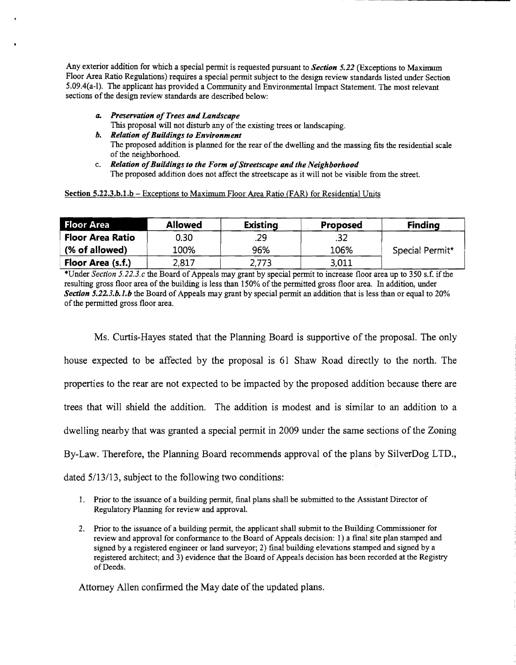Any exterior addition for which a special pennit is requested pursuant to *Section* 5.22 (Exceptions to Maximum Floor Area Ratio Regulations) requires a special pennit subject to the design review standards listed under Section 5.09.4(a-I). The applicant has provided a Community and Environmental Impact Statement. The most relevant sections of the design review standards are described below:

- *a. Preservation ofTrees and Landscape*  This proposal will not disturb any of the existing trees or landscaping. *b. Relation ofBuildings to Environment*
- The proposed addition is planned for the rear of the dwelling and the massing fits the residential scale of the neighborhood.
- c. *Relation ofBuildings to the Form ofStreetscape and the Neighborhood*  The proposed addition does not affect the streetscape as it will not be visible from the street.

| <b>Floor Area</b>       | <b>Allowed</b> | <b>Existing</b> | <b>Proposed</b> | <b>Finding</b>  |
|-------------------------|----------------|-----------------|-----------------|-----------------|
| <b>Floor Area Ratio</b> | 0.30           | .29             |                 |                 |
| (% of allowed)          | 100%           | 96%             | 106%            | Special Permit* |
| Floor Area (s.f.)       | 2,817          | 2,773           | 3,011           |                 |

\*Under *Section 5.22.3.c* the Board of Appeals may grant by special pennit to increase floor area up to 350 s.f. ifthe resulting gross floor area of the building is less than 150% of the pennitted gross floor area. In addition, under *Section 5.22.3.b.J.b* the Board of Appeals may grant by special pennit an addition that is less than or equal to 20% of the permitted gross floor area.

Ms. Curtis-Hayes stated that the Planning Board is supportive of the proposal. The only house expected to be affected by the proposal is 61 Shaw Road directly to the north. The properties to the rear are not expected to be impacted by the proposed addition because there are trees that will shield the addition. The addition is modest and is similar to an addition to a dwelling nearby that was granted a special permit in 2009 under the same sections of the Zoning By-Law. Therefore, the Planning Board recommends approval of the plans by SilverDog LTD., dated 5/13/13, subject to the following two conditions:

- 1. Prior to the issuance of a building permit, final plans shall be submitted to the Assistant Director of Regulatory Planning for review and approval.
- 2. Prior to the issuance of a building pennit, the applicant shall submit to the Building Commissioner for review and approval for conformance to the Board of Appeals decision: 1) a final site plan stamped and signed by a registered engineer or land surveyor; 2) final building elevations stamped and signed by a registered architect; and 3) evidence that the Board of Appeals decision has been recorded at the Registry of Deeds.

Attorney Allen confirmed the May date of the updated plans.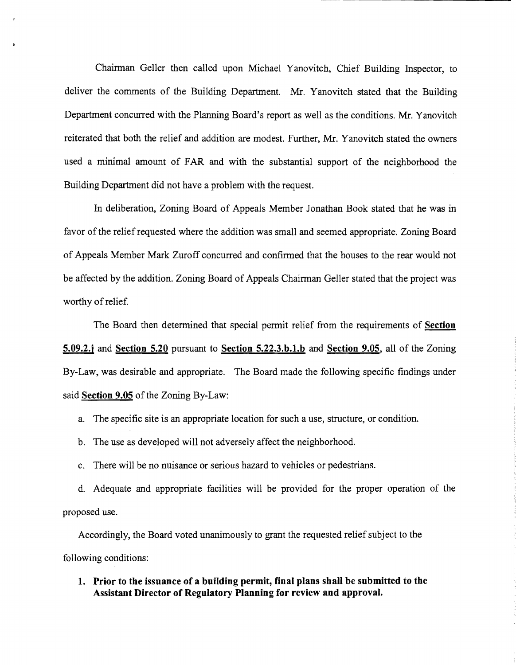Chainnan Geller then called upon Michael Yanovitch, Chief Building Inspector, to deliver the comments of the Building Department. Mr. Yanovitch stated that the Building Department concurred with the Planning Board's report as well as the conditions. Mr. Yanovitch reiterated that both the relief and addition are modest. Further, Mr. Yanovitch stated the owners used a minimal amount of FAR and with the substantial support of the neighborhood the Building Department did not have a problem with the request.

----- --------------

In deliberation, Zoning Board of Appeals Member Jonathan Book stated that he was in favor of the relief requested where the addition was small and seemed appropriate. Zoning Board of Appeals Member Mark Zuroff concurred and confirmed that the houses to the rear would not be affected by the addition. Zoning Board of Appeals Chairman Geller stated that the project was worthy of relief.

The Board then determined that special permit relief from the requirements of **Section 5.09.2.j and Section 5.20** pursuant to **Section 5.22.3.b.l.b and Section 9.05,** all of the Zoning By-Law, was desirable and appropriate. The Board made the following specific findings under said **Section 9.05** of the Zoning By-Law:

- a. The specific site is an appropriate location for such a use, structure, or condition.
- b. The use as developed will not adversely affect the neighborhood.
- c. There will be no nuisance or serious hazard to vehicles or pedestrians.

d. Adequate and appropriate facilities will be provided for the proper operation of the proposed use.

Accordingly, the Board voted unanimously to grant the requested relief subject to the following conditions:

**1. Prior to the issuance of a building permit, final plans shall be submitted to the Assistant Director of Regulatory Planning for review and approval.**